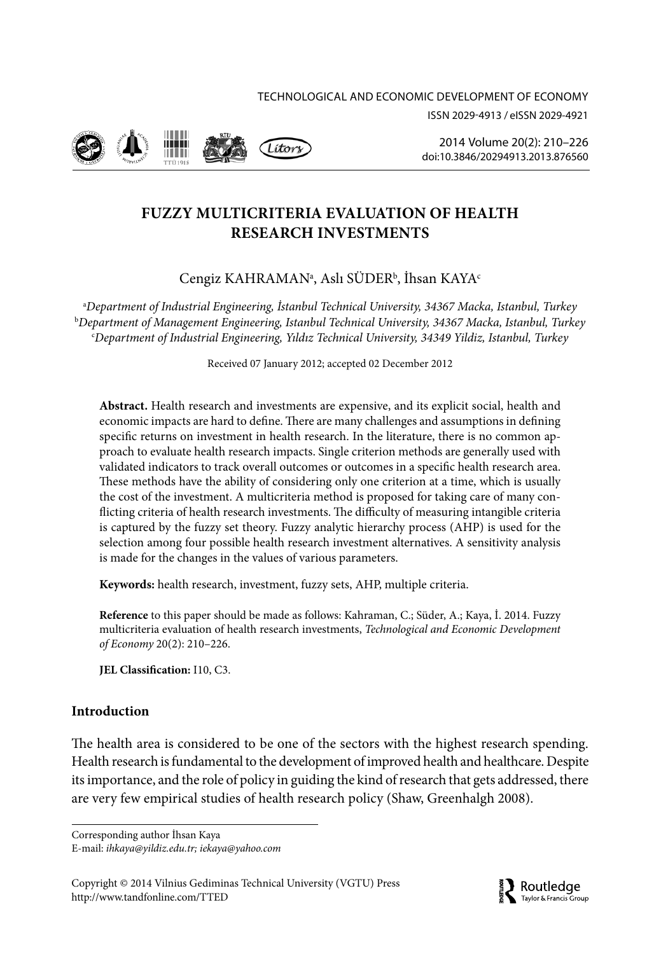



2014 Volume 20(2): 210–226 [doi:10.3846/20294913.2013.876560](http://dx.doi.org/10.3846/20294913.2013.876560)

# **FUZZY MULTICRITERIA EVALUATION OF HEALTH RESEARCH INVESTMENTS**

# Cengiz KAHRAMANª, Aslı SÜDER<sup>b</sup>, İhsan KAYA<sup>c</sup>

a *Department of Industrial Engineering, İstanbul Technical University, 34367 Macka, Istanbul, Turkey* b *Department of Management Engineering, Istanbul Technical University, 34367 Macka, Istanbul, Turkey* c *Department of Industrial Engineering, Yıldız Technical University, 34349 Yildiz, Istanbul, Turkey*

Received 07 January 2012; accepted 02 December 2012

**Abstract.** Health research and investments are expensive, and its explicit social, health and economic impacts are hard to define. There are many challenges and assumptions in defining specific returns on investment in health research. In the literature, there is no common approach to evaluate health research impacts. Single criterion methods are generally used with validated indicators to track overall outcomes or outcomes in a specific health research area. These methods have the ability of considering only one criterion at a time, which is usually the cost of the investment. A multicriteria method is proposed for taking care of many conflicting criteria of health research investments. The difficulty of measuring intangible criteria is captured by the fuzzy set theory. Fuzzy analytic hierarchy process (AHP) is used for the selection among four possible health research investment alternatives. A sensitivity analysis is made for the changes in the values of various parameters.

**Keywords:** health research, investment, fuzzy sets, AHP, multiple criteria.

**Reference** to this paper should be made as follows: Kahraman, C.; Süder, A.; Kaya, İ. 2014. Fuzzy multicriteria evaluation of health research investments, *Technological and Economic Development of Economy* 20(2): 210–226.

**JEL Classification:** I10, C3.

# **Introduction**

The health area is considered to be one of the sectors with the highest research spending. Health research is fundamental to the development of improved health and healthcare. Despite its importance, and the role of policy in guiding the kind of research that gets addressed, there are very few empirical studies of health research policy (Shaw, Greenhalgh 2008).

Corresponding author İhsan Kaya E-mail: *[ihkaya@yildiz.edu.tr;](mailto:ihkaya@yildiz.edu.tr) [iekaya@yahoo.com](mailto:iekaya@yahoo.com)*

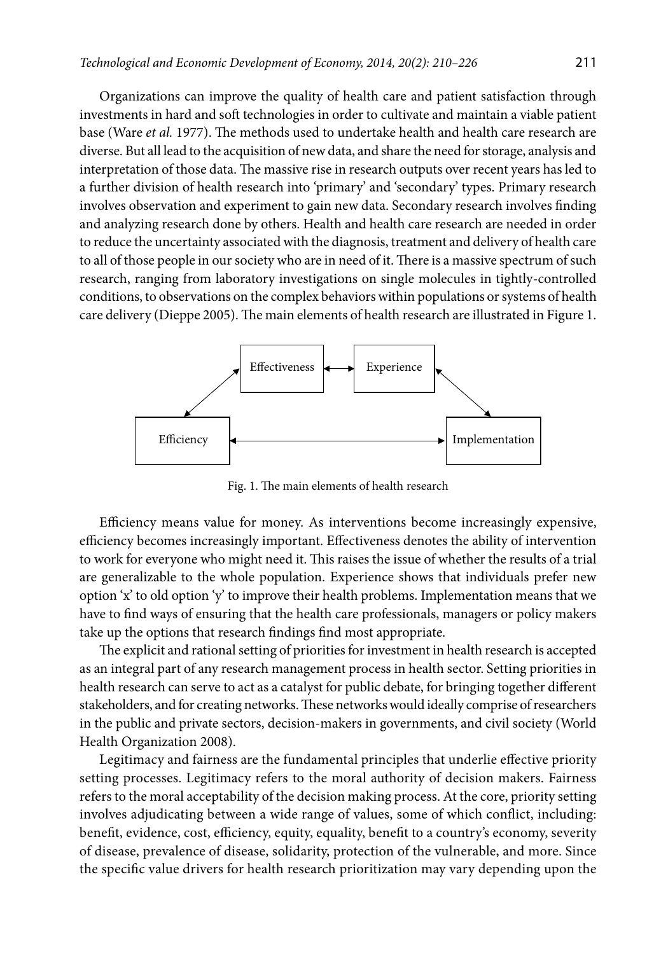Organizations can improve the quality of health care and patient satisfaction through investments in hard and soft technologies in order to cultivate and maintain a viable patient base (Ware *et al.* 1977). The methods used to undertake health and health care research are diverse. But all lead to the acquisition of new data, and share the need for storage, analysis and interpretation of those data. The massive rise in research outputs over recent years has led to a further division of health research into 'primary' and 'secondary' types. Primary research involves observation and experiment to gain new data. Secondary research involves finding and analyzing research done by others. Health and health care research are needed in order to reduce the uncertainty associated with the diagnosis, treatment and delivery of health care to all of those people in our society who are in need of it. There is a massive spectrum of such research, ranging from laboratory investigations on single molecules in tightly-controlled conditions, to observations on the complex behaviors within populations or systems of health care delivery (Dieppe 2005). The main elements of health research are illustrated in Figure 1.



Fig. 1. The main elements of health research

Efficiency means value for money. As interventions become increasingly expensive, efficiency becomes increasingly important. Effectiveness denotes the ability of intervention to work for everyone who might need it. This raises the issue of whether the results of a trial are generalizable to the whole population. Experience shows that individuals prefer new option 'x' to old option 'y' to improve their health problems. Implementation means that we have to find ways of ensuring that the health care professionals, managers or policy makers take up the options that research findings find most appropriate.

The explicit and rational setting of priorities for investment in health research is accepted as an integral part of any research management process in health sector. Setting priorities in health research can serve to act as a catalyst for public debate, for bringing together different stakeholders, and for creating networks. These networks would ideally comprise of researchers in the public and private sectors, decision-makers in governments, and civil society (World Health Organization 2008).

Legitimacy and fairness are the fundamental principles that underlie effective priority setting processes. Legitimacy refers to the moral authority of decision makers. Fairness refers to the moral acceptability of the decision making process. At the core, priority setting involves adjudicating between a wide range of values, some of which conflict, including: benefit, evidence, cost, efficiency, equity, equality, benefit to a country's economy, severity of disease, prevalence of disease, solidarity, protection of the vulnerable, and more. Since the specific value drivers for health research prioritization may vary depending upon the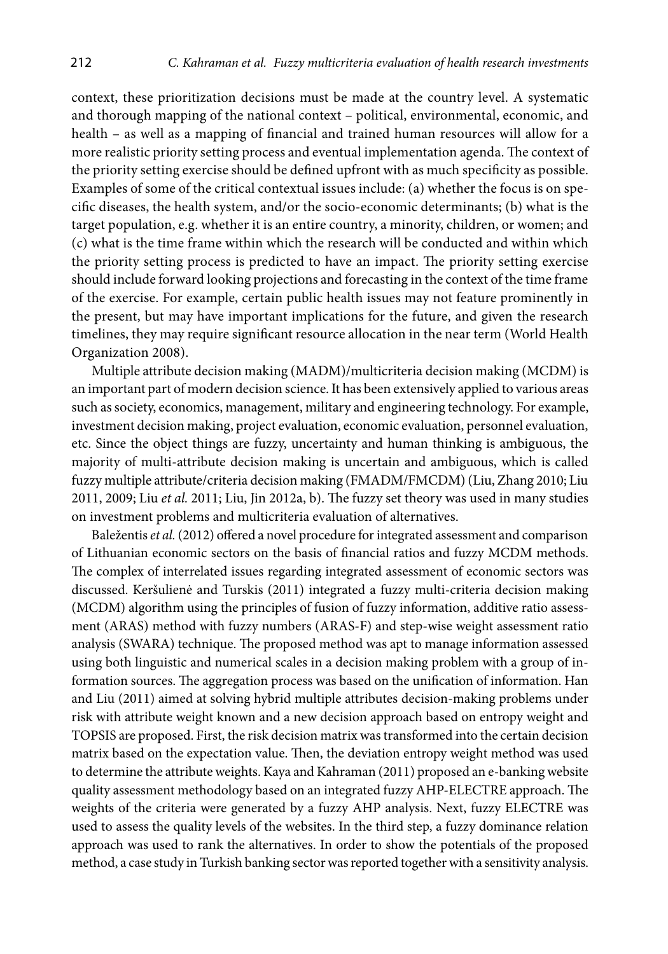context, these prioritization decisions must be made at the country level. A systematic and thorough mapping of the national context – political, environmental, economic, and health – as well as a mapping of financial and trained human resources will allow for a more realistic priority setting process and eventual implementation agenda. The context of the priority setting exercise should be defined upfront with as much specificity as possible. Examples of some of the critical contextual issues include: (a) whether the focus is on specific diseases, the health system, and/or the socio-economic determinants; (b) what is the target population, e.g. whether it is an entire country, a minority, children, or women; and (c) what is the time frame within which the research will be conducted and within which the priority setting process is predicted to have an impact. The priority setting exercise should include forward looking projections and forecasting in the context of the time frame of the exercise. For example, certain public health issues may not feature prominently in the present, but may have important implications for the future, and given the research timelines, they may require significant resource allocation in the near term (World Health Organization 2008).

Multiple attribute decision making (MADM)/multicriteria decision making (MCDM) is an important part of modern decision science. It has been extensively applied to various areas such as society, economics, management, military and engineering technology. For example, investment decision making, project evaluation, economic evaluation, personnel evaluation, etc. Since the object things are fuzzy, uncertainty and human thinking is ambiguous, the majority of multi-attribute decision making is uncertain and ambiguous, which is called fuzzy multiple attribute/criteria decision making (FMADM/FMCDM) (Liu, Zhang 2010; Liu 2011, 2009; Liu *et al.* 2011; Liu, Jin 2012a, b). The fuzzy set theory was used in many studies on investment problems and multicriteria evaluation of alternatives.

Baležentis *et al.* (2012) offered a novel procedure for integrated assessment and comparison of Lithuanian economic sectors on the basis of financial ratios and fuzzy MCDM methods. The complex of interrelated issues regarding integrated assessment of economic sectors was discussed. Keršulienė and Turskis (2011) integrated a fuzzy multi-criteria decision making (MCDM) algorithm using the principles of fusion of fuzzy information, additive ratio assessment (ARAS) method with fuzzy numbers (ARAS-F) and step-wise weight assessment ratio analysis (SWARA) technique. The proposed method was apt to manage information assessed using both linguistic and numerical scales in a decision making problem with a group of information sources. The aggregation process was based on the unification of information. Han and Liu (2011) aimed at solving hybrid multiple attributes decision-making problems under risk with attribute weight known and a new decision approach based on entropy weight and TOPSIS are proposed. First, the risk decision matrix was transformed into the certain decision matrix based on the expectation value. Then, the deviation entropy weight method was used to determine the attribute weights. Kaya and Kahraman (2011) proposed an e-banking website quality assessment methodology based on an integrated fuzzy AHP-ELECTRE approach. The weights of the criteria were generated by a fuzzy AHP analysis. Next, fuzzy ELECTRE was used to assess the quality levels of the websites. In the third step, a fuzzy dominance relation approach was used to rank the alternatives. In order to show the potentials of the proposed method, a case study in Turkish banking sector was reported together with a sensitivity analysis.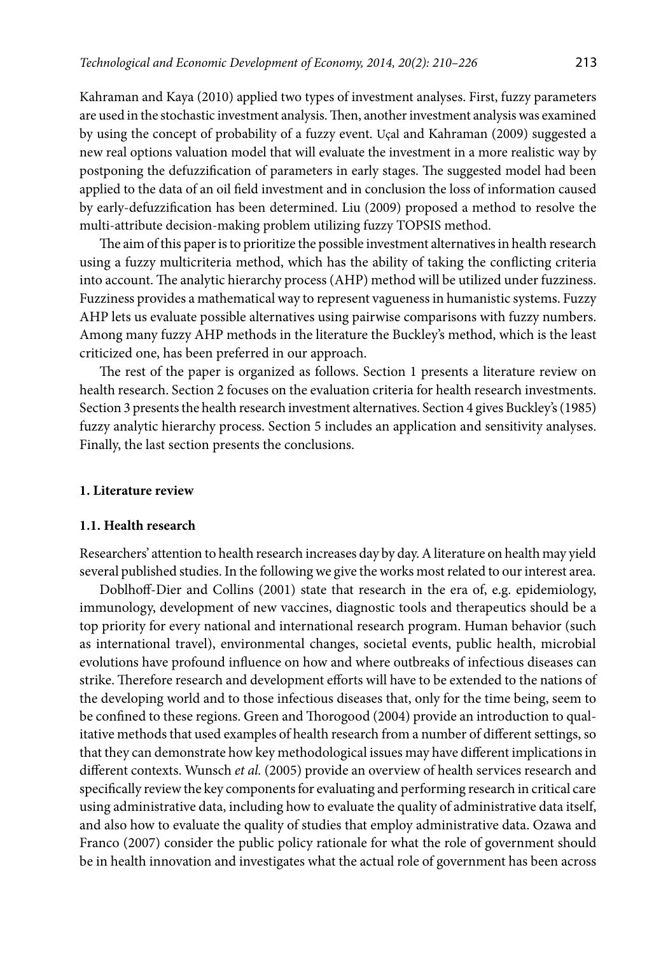Kahraman and Kaya (2010) applied two types of investment analyses. First, fuzzy parameters are used in the stochastic investment analysis. Then, another investment analysis was examined by using the concept of probability of a fuzzy event. Uçal and Kahraman (2009) suggested a new real options valuation model that will evaluate the investment in a more realistic way by postponing the defuzzification of parameters in early stages. The suggested model had been applied to the data of an oil field investment and in conclusion the loss of information caused by early-defuzzification has been determined. Liu (2009) proposed a method to resolve the multi-attribute decision-making problem utilizing fuzzy TOPSIS method.

The aim of this paper is to prioritize the possible investment alternatives in health research using a fuzzy multicriteria method, which has the ability of taking the conflicting criteria into account. The analytic hierarchy process (AHP) method will be utilized under fuzziness. Fuzziness provides a mathematical way to represent vagueness in humanistic systems. Fuzzy AHP lets us evaluate possible alternatives using pairwise comparisons with fuzzy numbers. Among many fuzzy AHP methods in the literature the Buckley's method, which is the least criticized one, has been preferred in our approach.

The rest of the paper is organized as follows. Section 1 presents a literature review on health research. Section 2 focuses on the evaluation criteria for health research investments. Section 3 presents the health research investment alternatives. Section 4 gives Buckley's (1985) fuzzy analytic hierarchy process. Section 5 includes an application and sensitivity analyses. Finally, the last section presents the conclusions.

### **1. Literature review**

#### **1.1. Health research**

Researchers' attention to health research increases day by day. A literature on health may yield several published studies. In the following we give the works most related to our interest area.

Doblhoff-Dier and Collins (2001) state that research in the era of, e.g. epidemiology, immunology, development of new vaccines, diagnostic tools and therapeutics should be a top priority for every national and international research program. Human behavior (such as international travel), environmental changes, societal events, public health, microbial evolutions have profound influence on how and where outbreaks of infectious diseases can strike. Therefore research and development efforts will have to be extended to the nations of the developing world and to those infectious diseases that, only for the time being, seem to be confined to these regions. Green and Thorogood (2004) provide an introduction to qualitative methods that used examples of health research from a number of different settings, so that they can demonstrate how key methodological issues may have different implications in different contexts. Wunsch *et al.* (2005) provide an overview of health services research and specifically review the key components for evaluating and performing research in critical care using administrative data, including how to evaluate the quality of administrative data itself, and also how to evaluate the quality of studies that employ administrative data. Ozawa and Franco (2007) consider the public policy rationale for what the role of government should be in health innovation and investigates what the actual role of government has been across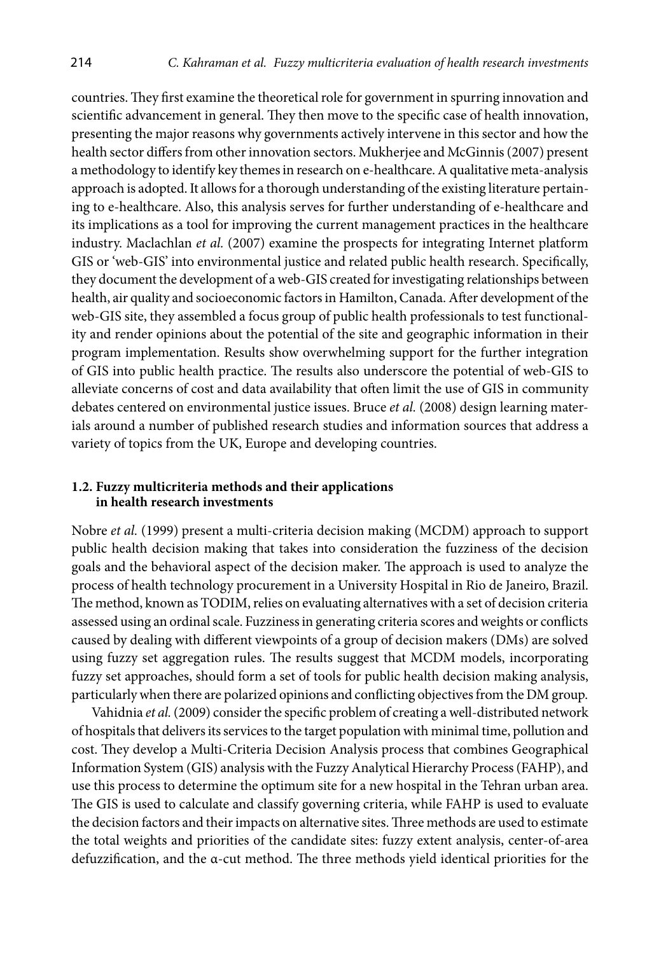countries. They first examine the theoretical role for government in spurring innovation and scientific advancement in general. They then move to the specific case of health innovation, presenting the major reasons why governments actively intervene in this sector and how the health sector differs from other innovation sectors. Mukherjee and McGinnis (2007) present a methodology to identify key themes in research on e-healthcare. A qualitative meta-analysis approach is adopted. It allows for a thorough understanding of the existing literature pertaining to e-healthcare. Also, this analysis serves for further understanding of e-healthcare and its implications as a tool for improving the current management practices in the healthcare industry. Maclachlan *et al.* (2007) examine the prospects for integrating Internet platform GIS or 'web-GIS' into environmental justice and related public health research. Specifically, they document the development of a web-GIS created for investigating relationships between health, air quality and socioeconomic factors in Hamilton, Canada. After development of the web-GIS site, they assembled a focus group of public health professionals to test functionality and render opinions about the potential of the site and geographic information in their program implementation. Results show overwhelming support for the further integration of GIS into public health practice. The results also underscore the potential of web-GIS to alleviate concerns of cost and data availability that often limit the use of GIS in community debates centered on environmental justice issues. Bruce *et al.* (2008) design learning materials around a number of published research studies and information sources that address a variety of topics from the UK, Europe and developing countries.

### **1.2. Fuzzy multicriteria methods and their applications in health research investments**

Nobre *et al.* (1999) present a multi-criteria decision making (MCDM) approach to support public health decision making that takes into consideration the fuzziness of the decision goals and the behavioral aspect of the decision maker. The approach is used to analyze the process of health technology procurement in a University Hospital in Rio de Janeiro, Brazil. The method, known as TODIM, relies on evaluating alternatives with a set of decision criteria assessed using an ordinal scale. Fuzziness in generating criteria scores and weights or conflicts caused by dealing with different viewpoints of a group of decision makers (DMs) are solved using fuzzy set aggregation rules. The results suggest that MCDM models, incorporating fuzzy set approaches, should form a set of tools for public health decision making analysis, particularly when there are polarized opinions and conflicting objectives from the DM group.

Vahidnia *et al.* (2009) consider the specific problem of creating a well-distributed network of hospitals that delivers its services to the target population with minimal time, pollution and cost. They develop a Multi-Criteria Decision Analysis process that combines Geographical Information System (GIS) analysis with the Fuzzy Analytical Hierarchy Process (FAHP), and use this process to determine the optimum site for a new hospital in the Tehran urban area. The GIS is used to calculate and classify governing criteria, while FAHP is used to evaluate the decision factors and their impacts on alternative sites. Three methods are used to estimate the total weights and priorities of the candidate sites: fuzzy extent analysis, center-of-area defuzzification, and the α-cut method. The three methods yield identical priorities for the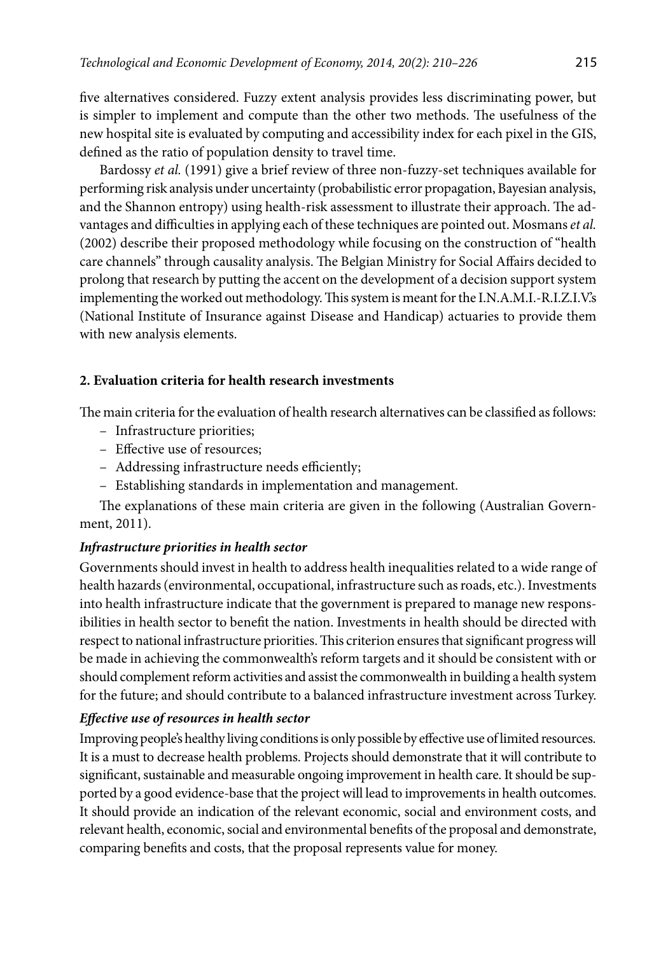five alternatives considered. Fuzzy extent analysis provides less discriminating power, but is simpler to implement and compute than the other two methods. The usefulness of the new hospital site is evaluated by computing and accessibility index for each pixel in the GIS, defined as the ratio of population density to travel time.

Bardossy *et al.* (1991) give a brief review of three non-fuzzy-set techniques available for performing risk analysis under uncertainty (probabilistic error propagation, Bayesian analysis, and the Shannon entropy) using health-risk assessment to illustrate their approach. The advantages and difficulties in applying each of these techniques are pointed out. Mosmans *et al.* (2002) describe their proposed methodology while focusing on the construction of "health care channels" through causality analysis. The Belgian Ministry for Social Affairs decided to prolong that research by putting the accent on the development of a decision support system implementing the worked out methodology. This system is meant for the I.N.A.M.I.-R.I.Z.I.V.'s (National Institute of Insurance against Disease and Handicap) actuaries to provide them with new analysis elements.

## **2. Evaluation criteria for health research investments**

The main criteria for the evaluation of health research alternatives can be classified as follows:

- Infrastructure priorities;
- Effective use of resources;
- Addressing infrastructure needs efficiently;
- Establishing standards in implementation and management.

The explanations of these main criteria are given in the following (Australian Government, 2011).

# *Infrastructure priorities in health sector*

Governments should invest in health to address health inequalities related to a wide range of health hazards (environmental, occupational, infrastructure such as roads, etc.). Investments into health infrastructure indicate that the government is prepared to manage new responsibilities in health sector to benefit the nation. Investments in health should be directed with respect to national infrastructure priorities. This criterion ensures that significant progress will be made in achieving the commonwealth's reform targets and it should be consistent with or should complement reform activities and assist the commonwealth in building a health system for the future; and should contribute to a balanced infrastructure investment across Turkey.

## *Effective use of resources in health sector*

Improving people's healthy living conditions is only possible by effective use of limited resources. It is a must to decrease health problems. Projects should demonstrate that it will contribute to significant, sustainable and measurable ongoing improvement in health care. It should be supported by a good evidence-base that the project will lead to improvements in health outcomes. It should provide an indication of the relevant economic, social and environment costs, and relevant health, economic, social and environmental benefits of the proposal and demonstrate, comparing benefits and costs, that the proposal represents value for money.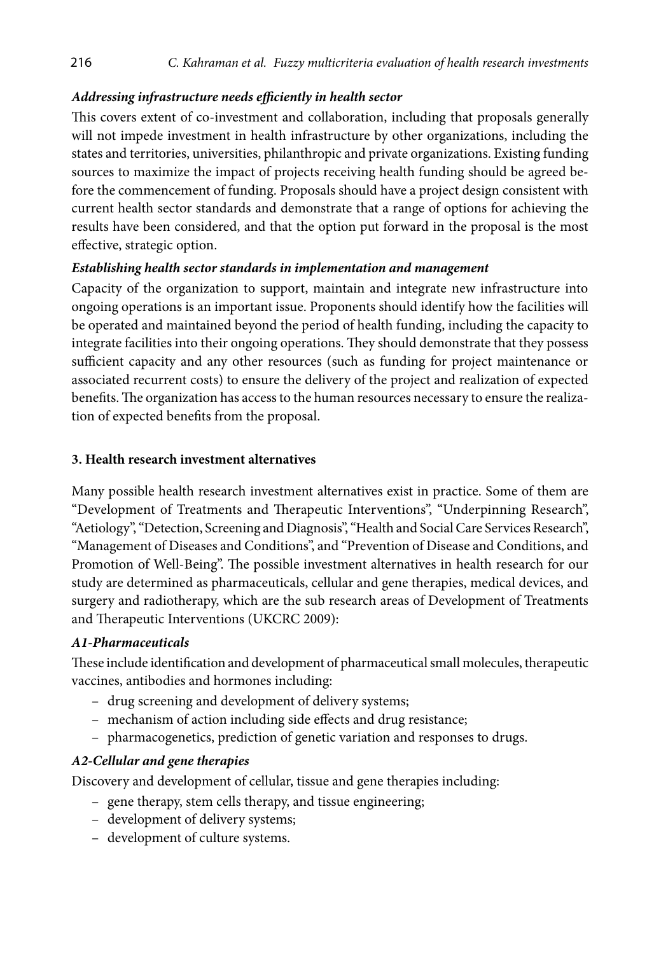# *Addressing infrastructure needs efficiently in health sector*

This covers extent of co-investment and collaboration, including that proposals generally will not impede investment in health infrastructure by other organizations, including the states and territories, universities, philanthropic and private organizations. Existing funding sources to maximize the impact of projects receiving health funding should be agreed before the commencement of funding. Proposals should have a project design consistent with current health sector standards and demonstrate that a range of options for achieving the results have been considered, and that the option put forward in the proposal is the most effective, strategic option.

## *Establishing health sector standards in implementation and management*

Capacity of the organization to support, maintain and integrate new infrastructure into ongoing operations is an important issue. Proponents should identify how the facilities will be operated and maintained beyond the period of health funding, including the capacity to integrate facilities into their ongoing operations. They should demonstrate that they possess sufficient capacity and any other resources (such as funding for project maintenance or associated recurrent costs) to ensure the delivery of the project and realization of expected benefits. The organization has access to the human resources necessary to ensure the realization of expected benefits from the proposal.

# **3. Health research investment alternatives**

Many possible health research investment alternatives exist in practice. Some of them are "Development of Treatments and Therapeutic Interventions", "Underpinning Research", "Aetiology", "Detection, Screening and Diagnosis", "Health and Social Care Services Research", "Management of Diseases and Conditions", and "Prevention of Disease and Conditions, and Promotion of Well-Being". The possible investment alternatives in health research for our study are determined as pharmaceuticals, cellular and gene therapies, medical devices, and surgery and radiotherapy, which are the sub research areas of Development of Treatments and Therapeutic Interventions (UKCRC 2009):

## *A1-Pharmaceuticals*

These include identification and development of pharmaceutical small molecules, therapeutic vaccines, antibodies and hormones including:

- drug screening and development of delivery systems;
- mechanism of action including side effects and drug resistance;
- pharmacogenetics, prediction of genetic variation and responses to drugs.

# *A2-Cellular and gene therapies*

Discovery and development of cellular, tissue and gene therapies including:

- gene therapy, stem cells therapy, and tissue engineering;
- development of delivery systems;
- development of culture systems.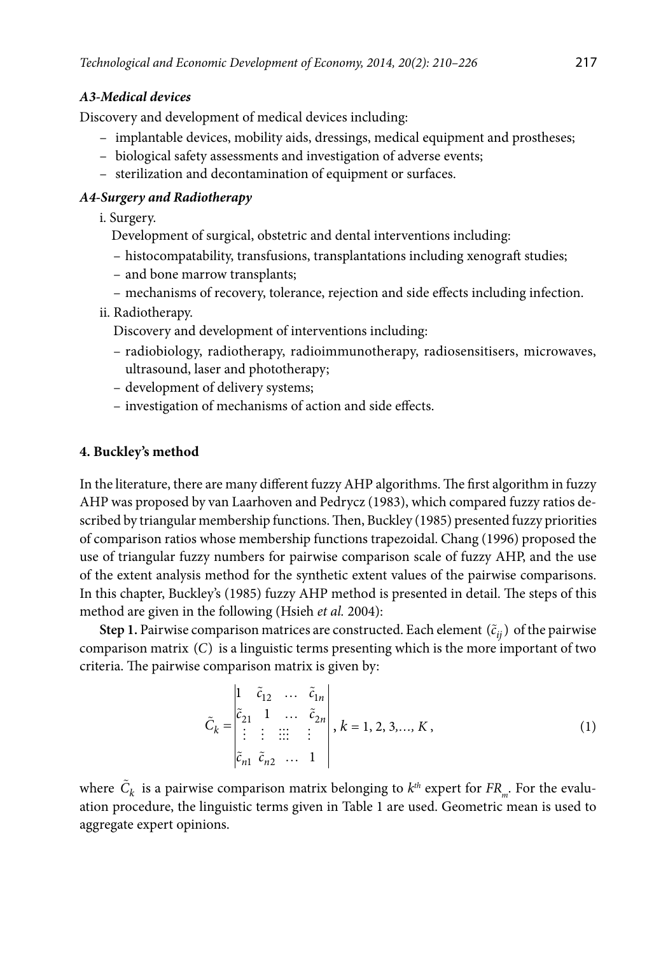### *A3-Medical devices*

Discovery and development of medical devices including:

- implantable devices, mobility aids, dressings, medical equipment and prostheses;
- biological safety assessments and investigation of adverse events;
- sterilization and decontamination of equipment or surfaces.

### *A4-Surgery and Radiotherapy*

i. Surgery.

- Development of surgical, obstetric and dental interventions including:
- histocompatability, transfusions, transplantations including xenograft studies;
- and bone marrow transplants;
- mechanisms of recovery, tolerance, rejection and side effects including infection.

### ii. Radiotherapy.

Discovery and development of interventions including:

- radiobiology, radiotherapy, radioimmunotherapy, radiosensitisers, microwaves, ultrasound, laser and phototherapy;
- development of delivery systems;
- investigation of mechanisms of action and side effects.

### **4. Buckley's method**

In the literature, there are many different fuzzy AHP algorithms. The first algorithm in fuzzy AHP was proposed by van Laarhoven and Pedrycz (1983), which compared fuzzy ratios described by triangular membership functions. Then, Buckley (1985) presented fuzzy priorities of comparison ratios whose membership functions trapezoidal. Chang (1996) proposed the use of triangular fuzzy numbers for pairwise comparison scale of fuzzy AHP, and the use of the extent analysis method for the synthetic extent values of the pairwise comparisons. In this chapter, Buckley's (1985) fuzzy AHP method is presented in detail. The steps of this method are given in the following (Hsieh *et al.* 2004):

**Step 1.** Pairwise comparison matrices are constructed. Each element  $(\tilde{c}_{ij})$  of the pairwise comparison matrix (C) is a linguistic terms presenting which is the more important of two criteria. The pairwise comparison matrix is given by:

$$
\tilde{C}_k = \begin{vmatrix}\n1 & \tilde{c}_{12} & \dots & \tilde{c}_{1n} \\
\tilde{c}_{21} & 1 & \dots & \tilde{c}_{2n} \\
\vdots & \vdots & \vdots & \vdots \\
\tilde{c}_{n1} & \tilde{c}_{n2} & \dots & 1\n\end{vmatrix}, k = 1, 2, 3, \dots, K,
$$
\n(1)

where  $\tilde{C}_k$  is a pairwise comparison matrix belonging to  $k^{th}$  expert for  $FR_{m}$ . For the evaluation procedure, the linguistic terms given in Table 1 are used. Geometric mean is used to aggregate expert opinions.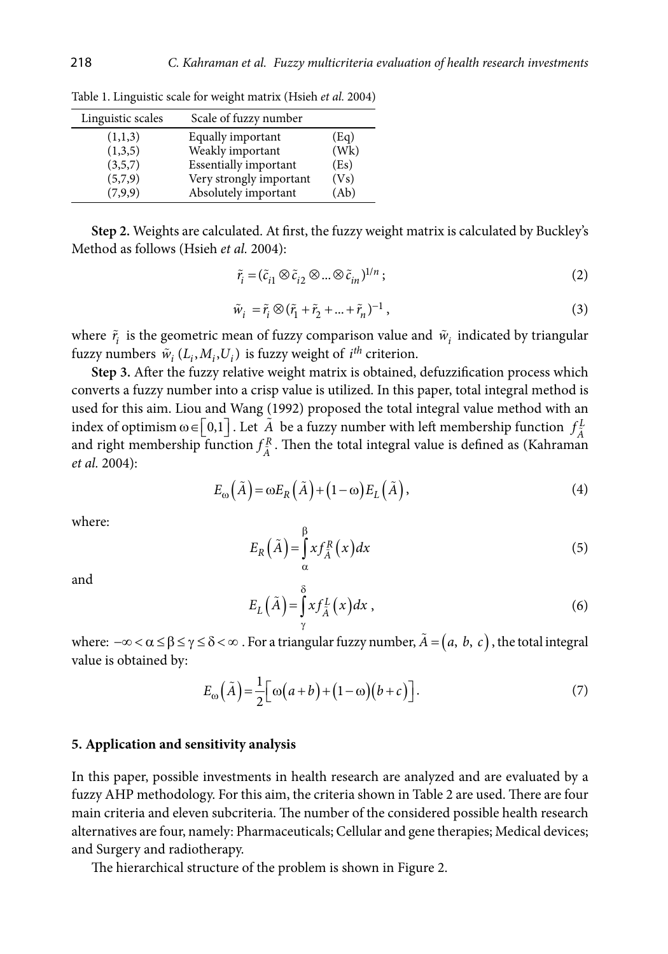| Linguistic scales | Scale of fuzzy number        |      |
|-------------------|------------------------------|------|
| (1,1,3)           | Equally important            | (Eq) |
| (1,3,5)           | Weakly important             | (Wk) |
| (3,5,7)           | <b>Essentially important</b> | (Es) |
| (5,7,9)           | Very strongly important      | (Vs) |
| (7,9,9)           | Absolutely important         | (Ab) |

Table 1. Linguistic scale for weight matrix (Hsieh *et al.* 2004)

**Step 2.** Weights are calculated. At first, the fuzzy weight matrix is calculated by Buckley's Method as follows (Hsieh *et al.* 2004):

$$
\tilde{r}_i = (\tilde{c}_{i1} \otimes \tilde{c}_{i2} \otimes \dots \otimes \tilde{c}_{in})^{1/n};
$$
\n(2)

$$
\tilde{w}_i = \tilde{r}_i \otimes (\tilde{r}_1 + \tilde{r}_2 + \dots + \tilde{r}_n)^{-1},\tag{3}
$$

where  $\tilde{r}_i$  is the geometric mean of fuzzy comparison value and  $\tilde{w}_i$  indicated by triangular fuzzy numbers  $\tilde{w}_i$  ( $L_i$ ,  $M_i$ ,  $U_i$ ) is fuzzy weight of *i*<sup>th</sup> criterion.

**Step 3.** After the fuzzy relative weight matrix is obtained, defuzzification process which converts a fuzzy number into a crisp value is utilized. In this paper, total integral method is used for this aim. Liou and Wang (1992) proposed the total integral value method with an index of optimism  $\omega \in [0,1]$ . Let  $\tilde{A}$  be a fuzzy number with left membership function  $f_{\tilde{A}}^L$ and right membership function  $f_A^R$ . Then the total integral value is defined as (Kahraman right membership function  $f_A^R$ . *et al.* 2004):

$$
E_{\omega}\left(\tilde{A}\right) = \omega E_R\left(\tilde{A}\right) + \left(1 - \omega\right)E_L\left(\tilde{A}\right),\tag{4}
$$

where:

$$
E_R(\tilde{A}) = \int_{\alpha}^{\beta} x f_{\tilde{A}}^R(x) dx
$$
\n(5)

and

$$
E_L(\tilde{A}) = \int_{\gamma}^{\delta} x f_{\tilde{A}}^L(x) dx , \qquad (6)
$$

where:  $-\infty < \alpha \le \beta \le \gamma \le \delta < \infty$ . For a triangular fuzzy number,  $\tilde{A} = (a, b, c)$ , the total integral value is obtained by:

$$
E_{\omega}\left(\tilde{A}\right) = \frac{1}{2}\left[\omega\left(a+b\right) + \left(1-\omega\right)\left(b+c\right)\right].\tag{7}
$$

#### **5. Application and sensitivity analysis**

In this paper, possible investments in health research are analyzed and are evaluated by a fuzzy AHP methodology. For this aim, the criteria shown in Table 2 are used. There are four main criteria and eleven subcriteria. The number of the considered possible health research alternatives are four, namely: Pharmaceuticals; Cellular and gene therapies; Medical devices; and Surgery and radiotherapy.

The hierarchical structure of the problem is shown in Figure 2.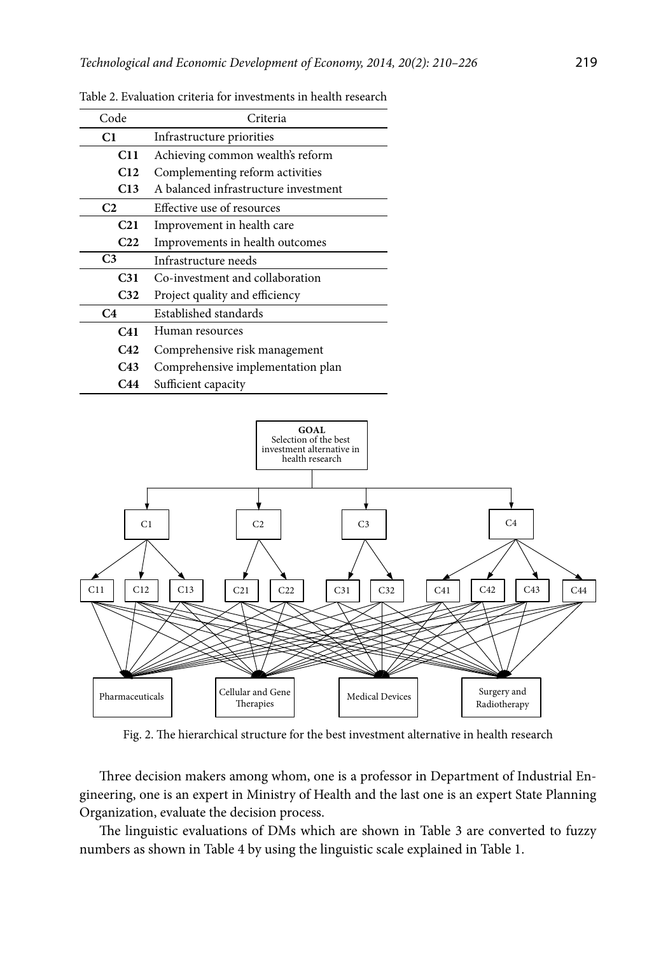| Code            | Criteria                             |  |  |  |  |  |
|-----------------|--------------------------------------|--|--|--|--|--|
| C1              | Infrastructure priorities            |  |  |  |  |  |
| C <sub>11</sub> | Achieving common wealth's reform     |  |  |  |  |  |
| C12             | Complementing reform activities      |  |  |  |  |  |
| C13             | A balanced infrastructure investment |  |  |  |  |  |
| C <sub>2</sub>  | Effective use of resources           |  |  |  |  |  |
| C <sub>21</sub> | Improvement in health care           |  |  |  |  |  |
| C <sub>22</sub> | Improvements in health outcomes      |  |  |  |  |  |
| C <sub>3</sub>  | Infrastructure needs                 |  |  |  |  |  |
| C31             | Co-investment and collaboration      |  |  |  |  |  |
| C32             | Project quality and efficiency       |  |  |  |  |  |
| C4              | Established standards                |  |  |  |  |  |
| C41             | Human resources                      |  |  |  |  |  |
| C42             | Comprehensive risk management        |  |  |  |  |  |
| C43             | Comprehensive implementation plan    |  |  |  |  |  |
| C44             | Sufficient capacity                  |  |  |  |  |  |

Table 2. Evaluation criteria for investments in health research



Fig. 2. The hierarchical structure for the best investment alternative in health research

Three decision makers among whom, one is a professor in Department of Industrial Engineering, one is an expert in Ministry of Health and the last one is an expert State Planning Organization, evaluate the decision process.

The linguistic evaluations of DMs which are shown in Table 3 are converted to fuzzy numbers as shown in Table 4 by using the linguistic scale explained in Table 1.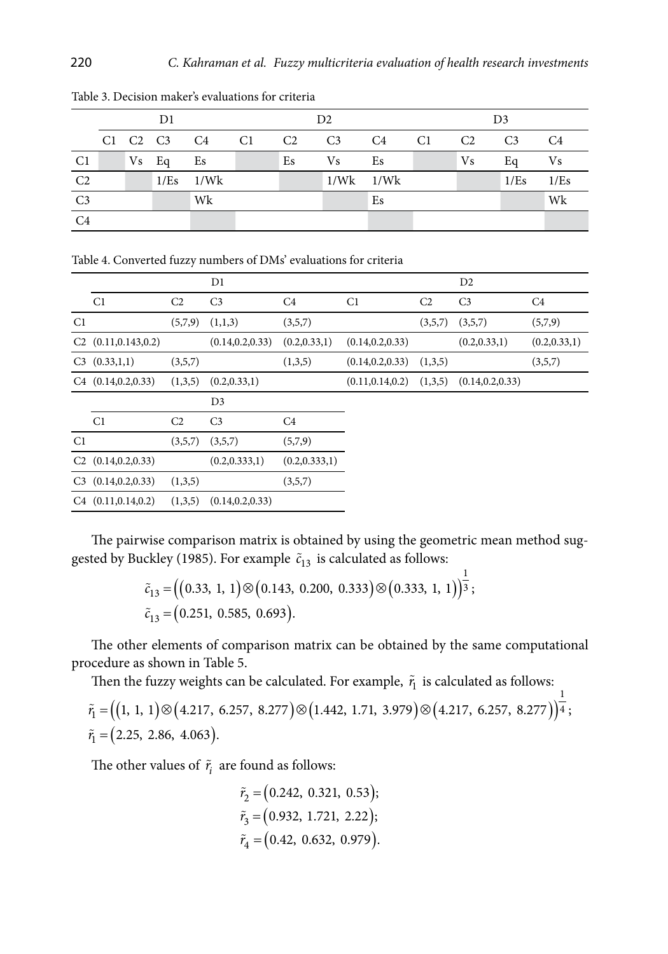|                |  | D1      |                |                | D2             |    |    |     | D3             |      |
|----------------|--|---------|----------------|----------------|----------------|----|----|-----|----------------|------|
|                |  |         | C1 C2 C3 C4 C1 | C <sub>2</sub> | C <sub>3</sub> | C4 | C1 | C2  | C <sub>3</sub> | C4   |
| C <sub>1</sub> |  | $Vs$ Eq | Es             | Es             | Vs             | Es |    | Vs. | Eq             | Vs   |
| C <sub>2</sub> |  |         | $1/Es$ $1/Wk$  |                | $1/Wk$ $1/Wk$  |    |    |     | 1/Es           | 1/Es |
| C <sub>3</sub> |  |         | Wk             |                |                | Es |    |     |                | Wk   |
| C <sub>4</sub> |  |         |                |                |                |    |    |     |                |      |

Table 3. Decision maker's evaluations for criteria

Table 4. Converted fuzzy numbers of DMs' evaluations for criteria

|                |                          |                | D1                |                 |                   |                | D <sub>2</sub>    |                |
|----------------|--------------------------|----------------|-------------------|-----------------|-------------------|----------------|-------------------|----------------|
|                | C1                       | C <sub>2</sub> | C <sub>3</sub>    | C4              | C1                | C <sub>2</sub> | C <sub>3</sub>    | C <sub>4</sub> |
| C <sub>1</sub> |                          | (5,7,9)        | (1,1,3)           | (3,5,7)         |                   | (3,5,7)        | (3,5,7)           | (5,7,9)        |
|                | $C2$ (0.11,0.143,0.2)    |                | (0.14, 0.2, 0.33) | (0.2, 0.33, 1)  | (0.14, 0.2, 0.33) |                | (0.2, 0.33, 1)    | (0.2, 0.33, 1) |
| C <sub>3</sub> | (0.33, 1, 1)             | (3,5,7)        |                   | (1,3,5)         | (0.14, 0.2, 0.33) | (1,3,5)        |                   | (3,5,7)        |
|                | $C4$ (0.14, 0.2, 0.33)   | (1,3,5)        | (0.2, 0.33, 1)    |                 | (0.11, 0.14, 0.2) | (1,3,5)        | (0.14, 0.2, 0.33) |                |
|                |                          |                | D <sub>3</sub>    |                 |                   |                |                   |                |
|                | C1                       | C <sub>2</sub> | C <sub>3</sub>    | C <sub>4</sub>  |                   |                |                   |                |
| C <sub>1</sub> |                          | (3,5,7)        | (3,5,7)           | (5,7,9)         |                   |                |                   |                |
|                | $C2$ (0.14, 0.2, 0.33)   |                | (0.2, 0.333, 1)   | (0.2, 0.333, 1) |                   |                |                   |                |
|                | $C3$ $(0.14, 0.2, 0.33)$ | (1,3,5)        |                   | (3,5,7)         |                   |                |                   |                |
|                | $C4$ $(0.11, 0.14, 0.2)$ | (1,3,5)        | (0.14, 0.2, 0.33) |                 |                   |                |                   |                |

The pairwise comparison matrix is obtained by using the geometric mean method suggested by Buckley (1985). For example  $\tilde{c}_{13}$  is calculated as follows:

$$
\tilde{c}_{13} = ((0.33, 1, 1) \otimes (0.143, 0.200, 0.333) \otimes (0.333, 1, 1))^{1/3};
$$
  
\n
$$
\tilde{c}_{13} = (0.251, 0.585, 0.693).
$$

The other elements of comparison matrix can be obtained by the same computational procedure as shown in Table 5.

Then the fuzzy weights can be calculated. For example,  $\tilde{r}_1$  is calculated as follows:

$$
\tilde{r}_1 = ((1, 1, 1) \otimes (4.217, 6.257, 8.277) \otimes (1.442, 1.71, 3.979) \otimes (4.217, 6.257, 8.277))^{2};
$$
  
\n
$$
\tilde{r}_1 = (2.25, 2.86, 4.063).
$$

1

The other values of  $\tilde{r}_i$  are found as follows:

$$
\tilde{r}_2 = (0.242, 0.321, 0.53);
$$
\n
$$
\tilde{r}_3 = (0.932, 1.721, 2.22);
$$
\n
$$
\tilde{r}_4 = (0.42, 0.632, 0.979).
$$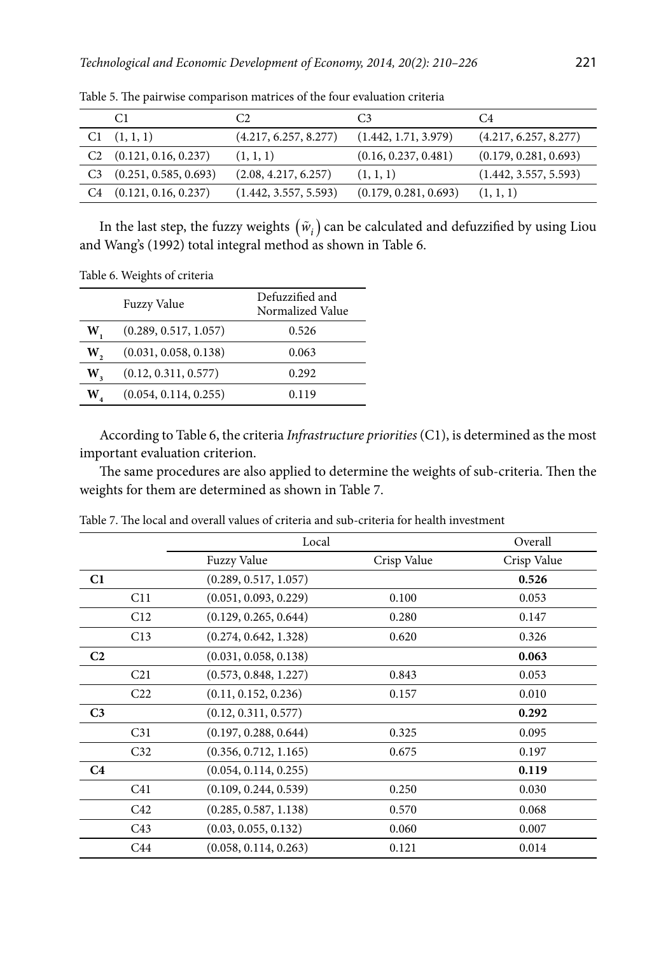|    | C1                           | C2                    |                       | C <sub>4</sub>        |
|----|------------------------------|-----------------------|-----------------------|-----------------------|
|    | (1, 1, 1)                    | (4.217, 6.257, 8.277) | (1.442, 1.71, 3.979)  | (4.217, 6.257, 8.277) |
|    | $C2$ $(0.121, 0.16, 0.237)$  | (1, 1, 1)             | (0.16, 0.237, 0.481)  | (0.179, 0.281, 0.693) |
|    | $C3$ $(0.251, 0.585, 0.693)$ | (2.08, 4.217, 6.257)  | (1, 1, 1)             | (1.442, 3.557, 5.593) |
| C4 | (0.121, 0.16, 0.237)         | (1.442, 3.557, 5.593) | (0.179, 0.281, 0.693) | (1, 1, 1)             |

Table 5. The pairwise comparison matrices of the four evaluation criteria

In the last step, the fuzzy weights  $(\tilde{w}_i)$  can be calculated and defuzzified by using Liou and Wang's (1992) total integral method as shown in Table 6.

Table 6. Weights of criteria

|    | <b>Fuzzy Value</b>    | Defuzzified and<br>Normalized Value |
|----|-----------------------|-------------------------------------|
| W  | (0.289, 0.517, 1.057) | 0.526                               |
| W, | (0.031, 0.058, 0.138) | 0.063                               |
| W, | (0.12, 0.311, 0.577)  | 0.292                               |
| W  | (0.054, 0.114, 0.255) | 0.119                               |

According to Table 6, the criteria *Infrastructure priorities* (C1), is determined as the most important evaluation criterion.

The same procedures are also applied to determine the weights of sub-criteria. Then the weights for them are determined as shown in Table 7.

| Crisp Value |
|-------------|
| 0.526       |
| 0.053       |
| 0.147       |
| 0.326       |
| 0.063       |
| 0.053       |
| 0.010       |
| 0.292       |
| 0.095       |
| 0.197       |
| 0.119       |
| 0.030       |
| 0.068       |
| 0.007       |
| 0.014       |
|             |

Table 7. The local and overall values of criteria and sub-criteria for health investment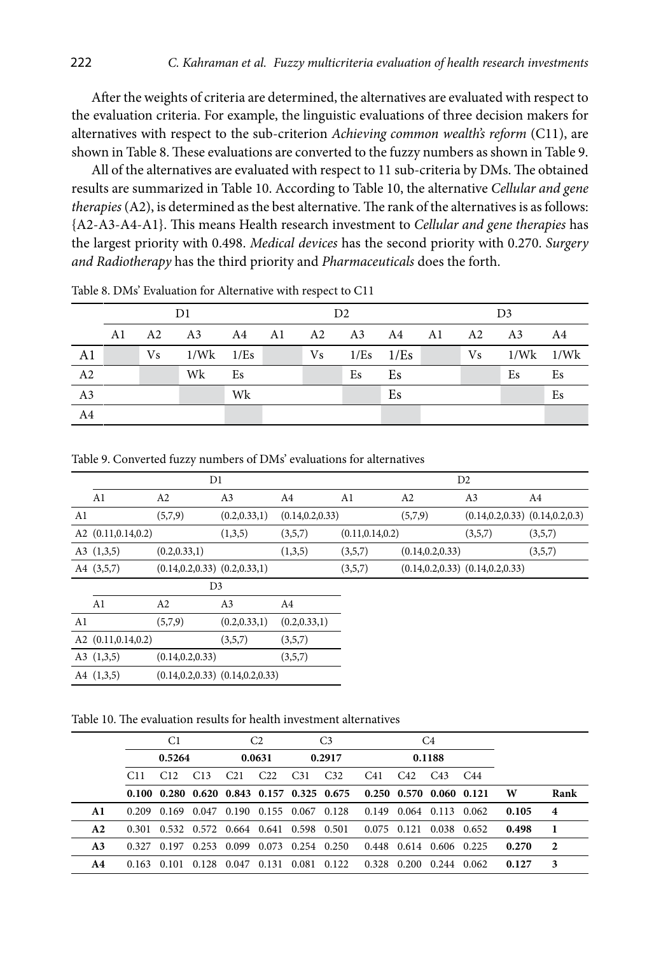After the weights of criteria are determined, the alternatives are evaluated with respect to the evaluation criteria. For example, the linguistic evaluations of three decision makers for alternatives with respect to the sub-criterion *Achieving common wealth's reform* (C11), are shown in Table 8. These evaluations are converted to the fuzzy numbers as shown in Table 9.

All of the alternatives are evaluated with respect to 11 sub-criteria by DMs. The obtained results are summarized in Table 10. According to Table 10, the alternative *Cellular and gene therapies* (A2), is determined as the best alternative. The rank of the alternatives is as follows: {A2-A3-A4-A1}. This means Health research investment to *Cellular and gene therapies* has the largest priority with 0.498. *Medical devices* has the second priority with 0.270. *Surgery and Radiotherapy* has the third priority and *Pharmaceuticals* does the forth.

|                 |    |    | D1                            |    | D2 |  |                |    | D <sub>3</sub> |  |                    |    |
|-----------------|----|----|-------------------------------|----|----|--|----------------|----|----------------|--|--------------------|----|
|                 | A1 |    | A2 A3 A4 A1 A2 A3 A4 A1 A2 A3 |    |    |  |                |    |                |  |                    | A4 |
| A1              |    | Vs | $1/Wk$ $1/Es$                 |    |    |  | $Vs$ 1/Es 1/Es |    |                |  | $Vs = 1/Wk = 1/Wk$ |    |
| $\overline{A2}$ |    |    | Wk                            | Es |    |  | Es             | Es |                |  | Es                 | Es |
| $\overline{A3}$ |    |    |                               | Wk |    |  |                | Es |                |  |                    | Es |
| A <sub>4</sub>  |    |    |                               |    |    |  |                |    |                |  |                    |    |

Table 8. DMs' Evaluation for Alternative with respect to C11

Table 9. Converted fuzzy numbers of DMs' evaluations for alternatives

| A1 | A2                                                                                                          | A3             | A4                                                           | Al                                      | A2                | A <sub>3</sub>                         | A4                                                                                                  |
|----|-------------------------------------------------------------------------------------------------------------|----------------|--------------------------------------------------------------|-----------------------------------------|-------------------|----------------------------------------|-----------------------------------------------------------------------------------------------------|
|    | (5,7,9)                                                                                                     | (0.2, 0.33, 1) |                                                              |                                         | (5,7,9)           |                                        |                                                                                                     |
|    |                                                                                                             | (1,3,5)        | (3,5,7)                                                      |                                         |                   | (3,5,7)                                | (3,5,7)                                                                                             |
|    | (0.2, 0.33, 1)                                                                                              |                | (1,3,5)                                                      | (3,5,7)                                 |                   |                                        | (3,5,7)                                                                                             |
|    |                                                                                                             |                |                                                              | (3,5,7)                                 |                   |                                        |                                                                                                     |
|    |                                                                                                             |                |                                                              |                                         |                   |                                        |                                                                                                     |
| A1 | A2                                                                                                          | A3             | A4                                                           |                                         |                   |                                        |                                                                                                     |
|    | (5,7,9)                                                                                                     | (0.2, 0.33, 1) | (0.2, 0.33, 1)                                               |                                         |                   |                                        |                                                                                                     |
|    |                                                                                                             | (3,5,7)        | (3,5,7)                                                      |                                         |                   |                                        |                                                                                                     |
|    | (0.14, 0.2, 0.33)                                                                                           |                | (3,5,7)                                                      |                                         |                   |                                        |                                                                                                     |
|    |                                                                                                             |                |                                                              |                                         |                   |                                        |                                                                                                     |
|    | A2 $(0.11, 0.14, 0.2)$<br>A3 $(1,3,5)$<br>A4 (3,5,7)<br>A2 $(0.11, 0.14, 0.2)$<br>A3 $(1,3,5)$<br>A4(1,3,5) |                | D1<br>$(0.14, 0.2, 0.33)$ $(0.2, 0.33, 1)$<br>D <sub>3</sub> | $(0.14, 0.2, 0.33)$ $(0.14, 0.2, 0.33)$ | (0.14, 0.2, 0.33) | (0.11, 0.14, 0.2)<br>(0.14, 0.2, 0.33) | D <sub>2</sub><br>$(0.14, 0.2, 0.33)$ $(0.14, 0.2, 0.3)$<br>$(0.14, 0.2, 0.33)$ $(0.14, 0.2, 0.33)$ |

Table 10. The evaluation results for health investment alternatives

|                |       | C1              |                 |                                           | C <sub>2</sub>  |                 | C <sub>3</sub>                                          |                         |                 | C4                      |                 |       |                |
|----------------|-------|-----------------|-----------------|-------------------------------------------|-----------------|-----------------|---------------------------------------------------------|-------------------------|-----------------|-------------------------|-----------------|-------|----------------|
|                |       | 0.5264          |                 |                                           | 0.0631          |                 | 0.2917                                                  |                         |                 | 0.1188                  |                 |       |                |
|                | C11   | C <sub>12</sub> | C <sub>13</sub> | C <sub>21</sub>                           | C <sub>22</sub> | C <sub>31</sub> | C <sub>32</sub>                                         | C41                     | C <sub>42</sub> | C <sub>43</sub>         | C <sub>44</sub> |       |                |
|                |       |                 |                 |                                           |                 |                 | $0.100$ $0.280$ $0.620$ $0.843$ $0.157$ $0.325$ $0.675$ | 0.250 0.570 0.060 0.121 |                 |                         |                 | W     | Rank           |
| A 1            |       |                 |                 | 0.209 0.169 0.047 0.190 0.155 0.067 0.128 |                 |                 |                                                         | 0.149 0.064 0.113 0.062 |                 |                         |                 | 0.105 | $\overline{4}$ |
| A2             |       |                 |                 |                                           |                 |                 | 0.301 0.532 0.572 0.664 0.641 0.598 0.501               | 0.075 0.121 0.038 0.652 |                 |                         |                 | 0.498 | -1             |
| A <sub>3</sub> |       |                 |                 | 0.327 0.197 0.253 0.099 0.073 0.254 0.250 |                 |                 |                                                         |                         |                 | 0.448 0.614 0.606 0.225 |                 | 0.270 | $\overline{2}$ |
| A4             | 0.163 |                 |                 | 0.101 0.128 0.047 0.131 0.081 0.122       |                 |                 |                                                         | 0.328                   | 0.200           | 0.244 0.062             |                 | 0.127 | 3              |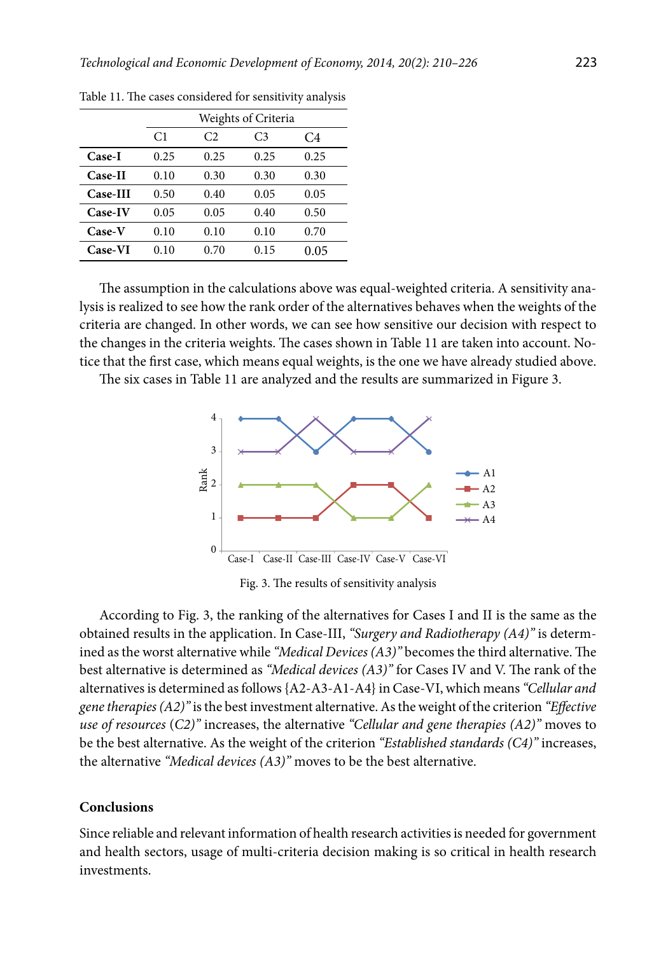|                |                |      | Weights of Criteria |      |
|----------------|----------------|------|---------------------|------|
|                | C <sub>1</sub> | C2.  | C <sub>3</sub>      | C4   |
| Case-I         | 0.25           | 0.25 | 0.25                | 0.25 |
| <b>Case-II</b> | 0.10           | 0.30 | 0.30                | 0.30 |
| Case-III       | 0.50           | 0.40 | 0.05                | 0.05 |
| Case-IV        | 0.05           | 0.05 | 0.40                | 0.50 |
| <b>Case-V</b>  | 0.10           | 0.10 | 0.10                | 0.70 |
| Case-VI        | 0.10           | 0.70 | 0.15                | 0.05 |

Table 11. The cases considered for sensitivity analysis

The assumption in the calculations above was equal-weighted criteria. A sensitivity analysis is realized to see how the rank order of the alternatives behaves when the weights of the criteria are changed. In other words, we can see how sensitive our decision with respect to the changes in the criteria weights. The cases shown in Table 11 are taken into account. Notice that the first case, which means equal weights, is the one we have already studied above.

The six cases in Table 11 are analyzed and the results are summarized in Figure 3.



Fig. 3. The results of sensitivity analysis

According to Fig. 3, the ranking of the alternatives for Cases I and II is the same as the obtained results in the application. In Case-III, *"Surgery and Radiotherapy (A4)"* is determined as the worst alternative while *"Medical Devices (A3)"* becomes the third alternative. The best alternative is determined as *"Medical devices (A3)"* for Cases IV and V. The rank of the alternatives is determined as follows {A2-A3-A1-A4} in Case-VI, which means *"Cellular and gene therapies (A2)"* is the best investment alternative. As the weight of the criterion *"Effective use of resources* (*C2)"* increases, the alternative *"Cellular and gene therapies (A2)"* moves to be the best alternative. As the weight of the criterion *"Established standards (C4)"* increases, the alternative *"Medical devices (A3)"* moves to be the best alternative.

### **Conclusions**

Since reliable and relevant information of health research activities is needed for government and health sectors, usage of multi-criteria decision making is so critical in health research investments.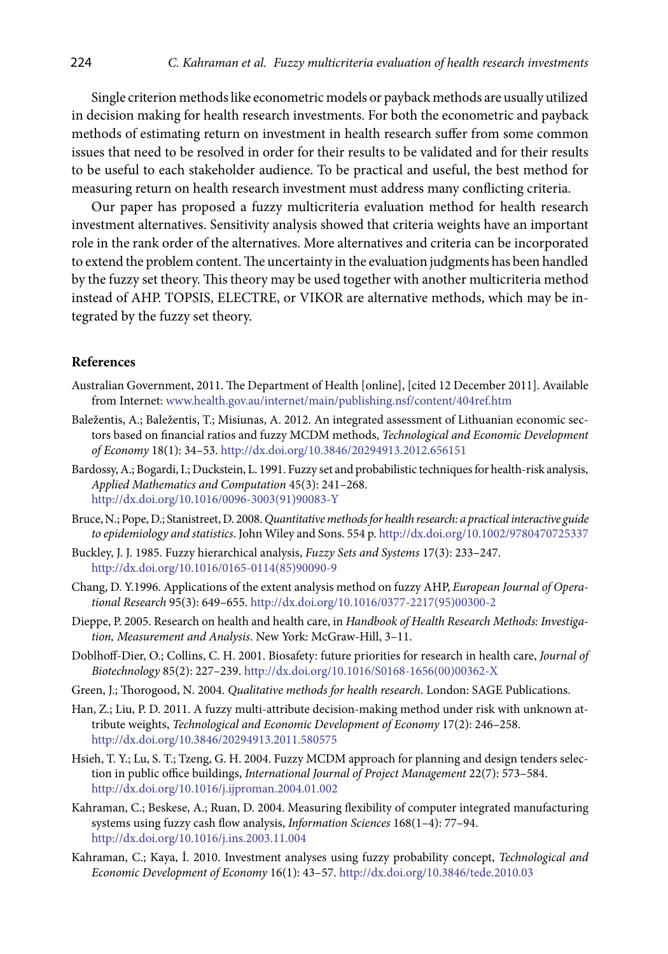Single criterion methods like econometric models or payback methods are usually utilized in decision making for health research investments. For both the econometric and payback methods of estimating return on investment in health research suffer from some common issues that need to be resolved in order for their results to be validated and for their results to be useful to each stakeholder audience. To be practical and useful, the best method for measuring return on health research investment must address many conflicting criteria.

Our paper has proposed a fuzzy multicriteria evaluation method for health research investment alternatives. Sensitivity analysis showed that criteria weights have an important role in the rank order of the alternatives. More alternatives and criteria can be incorporated to extend the problem content. The uncertainty in the evaluation judgments has been handled by the fuzzy set theory. This theory may be used together with another multicriteria method instead of AHP. TOPSIS, ELECTRE, or VIKOR are alternative methods, which may be integrated by the fuzzy set theory.

## **References**

- Australian Government, 2011. The Department of Health [online], [cited 12 December 2011]. Available from Internet: [www.health.gov.au/internet/main/publishing.nsf/content/404ref.htm](http://www.health.gov.au/internet/main/publishing.nsf/content/404ref.htm)
- Baležentis, A.; Baležentis, T.; Misiunas, A. 2012. An integrated assessment of Lithuanian economic sectors based on financial ratios and fuzzy MCDM methods, *Technological and Economic Development of Economy* 18(1): 34–53.<http://dx.doi.org/10.3846/20294913.2012.656151>
- Bardossy, A.; Bogardi, I.; Duckstein, L. 1991. Fuzzy set and probabilistic techniques for health-risk analysis, *[Applied Mathematics and Computation](http://www.sciencedirect.com/science/journal/00963003)* 45(3): 241–268. [http://dx.doi.org/10.1016/0096-3003\(91\)90083-Y](http://dx.doi.org/10.1016/0096-3003(91)90083-Y)
- Bruce, N.; Pope, D.; Stanistreet, D. 2008. *Quantitative methods for health research: a practical interactive guide to epidemiology and statistics*. John Wiley and Sons. 554 p.<http://dx.doi.org/10.1002/9780470725337>
- Buckley, J. J. 1985. Fuzzy hierarchical analysis, *Fuzzy Sets and Systems* 17(3): 233–247. [http://dx.doi.org/10.1016/0165-0114\(85\)90090-9](http://dx.doi.org/10.1016/0165-0114(85)90090-9)
- Chang, D. Y.1996. Applications of the extent analysis method on fuzzy AHP, *European Journal of Operational Research* 95(3): 649–655. [http://dx.doi.org/10.1016/0377-2217\(95\)00300-2](http://dx.doi.org/10.1016/0377-2217(95)00300-2)
- Dieppe, P. 2005. Research on health and health care, in *Handbook of Health Research Methods: Investigation, Measurement and Analysis*. New York: McGraw-Hill, 3–11.
- Doblhoff-Dier, O.; Collins, C. H. 2001. Biosafety: future priorities for research in health care, *Journal of Biotechnology* 85(2): 227–239. [http://dx.doi.org/10.1016/S0168-1656\(00\)00362-X](http://dx.doi.org/10.1016/S0168-1656(00)00362-X)
- Green, J.; Thorogood, N. 2004. *Qualitative methods for health research*. London: SAGE Publications.
- Han, Z.; Liu, P. D. 2011. A fuzzy multi-attribute decision-making method under risk with unknown attribute weights, *Technological and Economic Development of Economy* 17(2): 246–258. <http://dx.doi.org/10.3846/20294913.2011.580575>
- Hsieh, T. Y.; Lu, S. T.; Tzeng, G. H. 2004. Fuzzy MCDM approach for planning and design tenders selection in public office buildings, *International Journal of Project Management* 22(7): 573–584. <http://dx.doi.org/10.1016/j.ijproman.2004.01.002>
- Kahraman, C.; Beskese, A.; Ruan, D. 2004. Measuring flexibility of computer integrated manufacturing systems using fuzzy cash flow analysis, *Information Sciences* 168(1–4): 77–94. <http://dx.doi.org/10.1016/j.ins.2003.11.004>
- Kahraman, C.; Kaya, İ. 2010. Investment analyses using fuzzy probability concept, *Technological and Economic Development of Economy* 16(1): 43–57. <http://dx.doi.org/10.3846/tede.2010.03>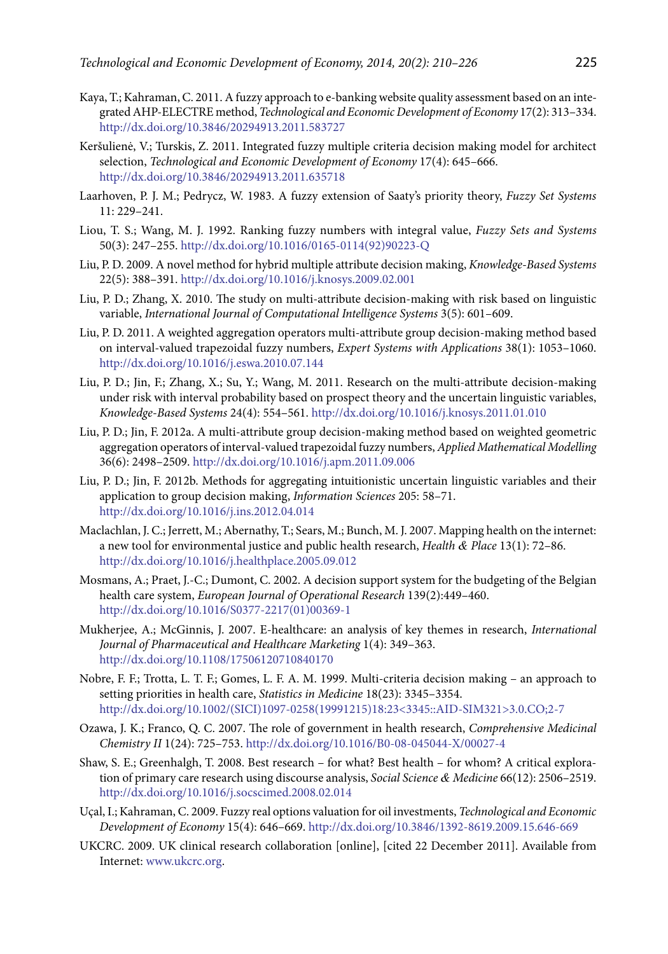- Kaya, T.; Kahraman, C. 2011. A fuzzy approach to e-banking website quality assessment based on an integrated AHP-ELECTRE method, *Technological and Economic Development of Economy* 17(2): 313–334. <http://dx.doi.org/10.3846/20294913.2011.583727>
- Keršulienė, V.; Turskis, Z. 2011. Integrated fuzzy multiple criteria decision making model for architect selection, *Technological and Economic Development of Economy* 17(4): 645–666. <http://dx.doi.org/10.3846/20294913.2011.635718>
- Laarhoven, P. J. M.; Pedrycz, W. 1983. A fuzzy extension of Saaty's priority theory, *Fuzzy Set Systems* 11: 229–241.
- Liou, T. S.; Wang, M. J. 1992. Ranking fuzzy numbers with integral value, *Fuzzy Sets and Systems* 50(3): 247–255. [http://dx.doi.org/10.1016/0165-0114\(92\)90223-Q](http://dx.doi.org/10.1016/0165-0114(92)90223-Q)
- Liu, P. D. 2009. A novel method for hybrid multiple attribute decision making, *Knowledge-Based Systems* 22(5): 388–391. <http://dx.doi.org/10.1016/j.knosys.2009.02.001>
- Liu, P. D.; Zhang, X. 2010. The study on multi-attribute decision-making with risk based on linguistic variable, *International Journal of Computational Intelligence Systems* 3(5): 601–609.
- Liu, P. D. 2011. A weighted aggregation operators multi-attribute group decision-making method based on interval-valued trapezoidal fuzzy numbers, *Expert Systems with Applications* 38(1): 1053–1060. <http://dx.doi.org/10.1016/j.eswa.2010.07.144>
- Liu, P. D.; Jin, F.; Zhang, X.; Su, Y.; Wang, M. 2011. Research on the multi-attribute decision-making under risk with interval probability based on prospect theory and the uncertain linguistic variables, *Knowledge-Based Systems* 24(4): 554–561.<http://dx.doi.org/10.1016/j.knosys.2011.01.010>
- Liu, P. D.; Jin, F. 2012a. A multi-attribute group decision-making method based on weighted geometric aggregation operators of interval-valued trapezoidal fuzzy numbers, *Applied Mathematical Modelling* 36(6): 2498–2509.<http://dx.doi.org/10.1016/j.apm.2011.09.006>
- Liu, P. D.; Jin, F. 2012b. Methods for aggregating intuitionistic uncertain linguistic variables and their application to group decision making, *Information Sciences* 205: 58–71. <http://dx.doi.org/10.1016/j.ins.2012.04.014>
- Maclachlan, J. C.; Jerrett, M.; Abernathy, T.; Sears, M.; Bunch, M. J. 2007. Mapping health on the internet: a new tool for environmental justice and public health research, *Health & Place* 13(1): 72–86. <http://dx.doi.org/10.1016/j.healthplace.2005.09.012>
- Mosmans, A.; Praet, J.-C.; Dumont, C. 2002. A decision support system for the budgeting of the Belgian health care system, *[European Journal of Operational Research](http://www.sciencedirect.com/science/journal/03772217)* 139(2):449–460. [http://dx.doi.org/10.1016/S0377-2217\(01\)00369-1](http://dx.doi.org/10.1016/S0377-2217(01)00369-1)
- Mukherjee, A.; McGinnis, J. 2007. E-healthcare: an analysis of key themes in research, *International Journal of Pharmaceutical and Healthcare Marketing* 1(4): 349–363. <http://dx.doi.org/10.1108/17506120710840170>
- Nobre, F. F.; Trotta, L. T. F.; Gomes, L. F. A. M. 1999. Multi-criteria decision making an approach to setting priorities in health care, *Statistics in Medicine* 18(23): 3345–3354. [http://dx.doi.org/10.1002/\(SICI\)1097-0258\(19991215\)18:23<3345::AID-SIM321>3.0.CO;2-7](http://dx.doi.org/10.1002/(SICI)1097-0258(19991215)18:23%3c3345::AID-SIM321%3e3.0.CO;2-7)
- Ozawa, J. K.; Franco, Q. C. 2007. [The role of government in health research,](http://0-www.sciencedirect.com.divit.library.itu.edu.tr/science?_ob=ArticleURL&_udi=B8F9N-4MWJ66G-S&_user=691171&_coverDate=03%2F29%2F2007&_alid=1565156974&_rdoc=1&_fmt=high&_orig=search&_origin=search&_zone=rslt_list_item&_cdi=41183&_sort=r&_st=4&_docanchor=&_ct=3&_acct=C000038558&_version=1&_urlVersion=0&_userid=691171&md5=23fe607f73f0c41a764f39e9b94d99fe&searchtype=a) *Comprehensive Medicinal Chemistry II* 1(24): 725–753.<http://dx.doi.org/10.1016/B0-08-045044-X/00027-4>
- Shaw, S. E.; Greenhalgh, T. 2008. Best research for what? Best health for whom? A critical exploration of primary care research using discourse analysis, *Social Science & Medicine* 66(12): 2506–2519. <http://dx.doi.org/10.1016/j.socscimed.2008.02.014>
- Uçal, I.; Kahraman, C. 2009. Fuzzy real options valuation for oil investments, *Technological and Economic Development of Economy* 15(4): 646–669. <http://dx.doi.org/10.3846/1392-8619.2009.15.646-669>
- UKCRC. 2009. UK clinical research collaboration [online], [cited 22 December 2011]. Available from Internet: [www.ukcrc.org](http://www.ukcrc.org).